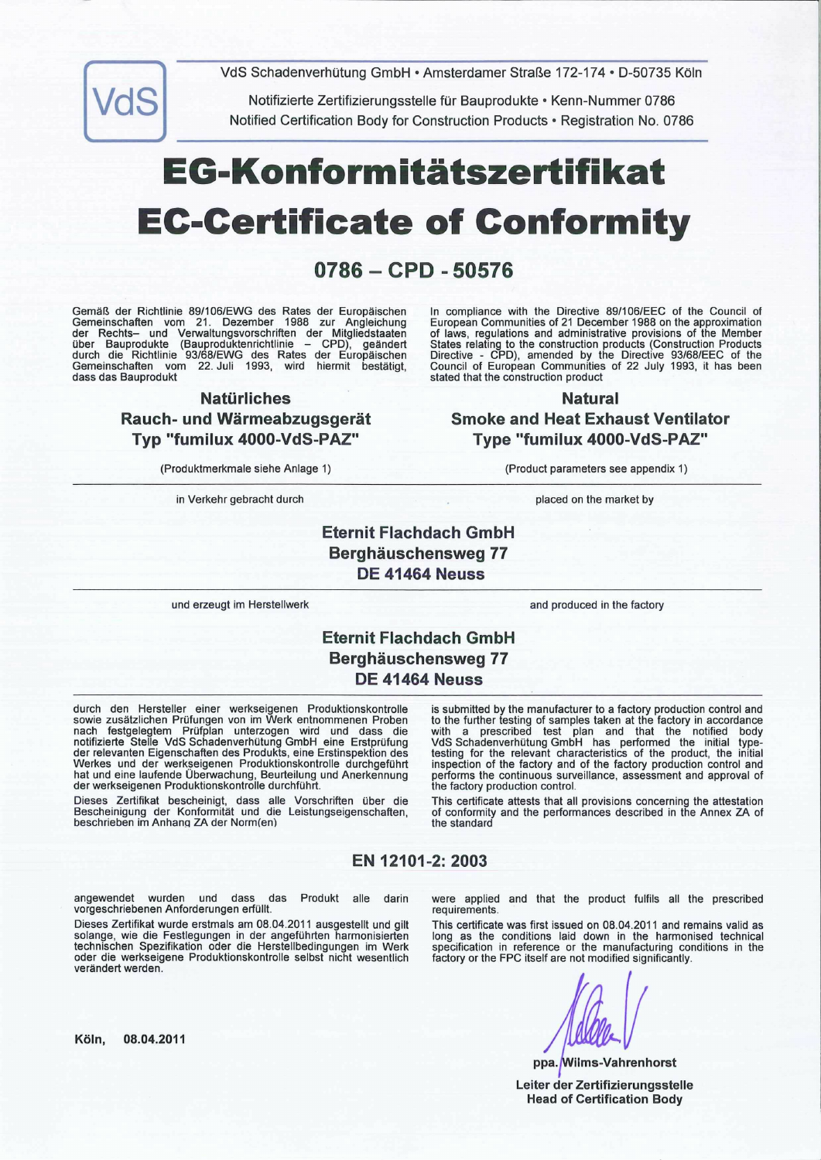VdS Schadenverhütung GmbH • Amsterdamer Straße 172-174 • D-50735 Köln



Notifizierte Zertifizierungsstelle für Bauprodukte • Kenn-Nummer 0786 Notified Certification Body for Construction Products • Registration No. 0786

# E G-Ko nfo rm itätsze rt ifi kat EC-Certificate of Conformity

# $0786 - CPD - 50576$

Gemäß der Richtlinie 89/106/EWG des Rates der Europäischen Gemeinschaften vom 21. Dezember 1988 zur Angleichung der Rechts- und Verwaltungsvorschriften der Mitgliedstaaten<br>über Bauprodukte (Bauproduktenrichtlinie – CPD), geändert über Bauprodukte (Bauproduktenrichtlinie – CPD), geän<br>durch die Richtlinie 93/68/EWG des Rates der Europäisc Gemeinschaften vom 22. Juli 1993, wird hiermit bestä<br>dass das Bauprodukt

#### Natürliches

## Rauch- und Wärmeabzugsgerät Typ "fumilux 4000-VdS-PAZ"

(Produktmerkmale siehe Anlage 1) (Product parameters see appendix 1)

in Verkehr gebracht durch placed on the market by placed on the market by

In compliance with the Directive 89/106/EEC of the Council of European Communities of 21 December 1988 on the approximation of laws, regulations and administrative provisions of the Member States relating to the construction products (Construction Prod<br>Directive - CPD), amended by the Directive 93/68/EEC of<br>Council of European Communities of 22 July 1993, it has l stated that the construction product

#### Natural

Smoke and Heat Exhaust Ventilator Type "fumilux 4000-VdS-PAZ"

Eternit Flachdach GmbH Berghäuschensweg 77 DE 41464 Neuss

und erzeugt im Herstellwerk and produced in the factory

# Eternit Flachdach GmbH Berghäuschensweg 77 DE 41464 Neuss

durch den Hersteller einer werkseigenen Produktionskontroller sowie zusätzlichen Prüfungen von im Werk entnommenen nach festgelegtem Prüfplan unterzogen wird und dass die notifizierte Stelle VdS Schadenverhütung GmbH eine Erstprüfung der relevanten Eigenschaften des Produkts, eine Erstinspekti<br>Werkes und der werkseigenen Produktionskontrolle durch hat und eine laufende Überwachung, Beurteilung und Anerke<br>der werkseigenen Produktionskontrolle durchführt.

Dieses Zertifikat bescheinigt, dass alle Vorschriften über die Bescheinigung der Konformität und die Leistungseigenschafter<br>beschrieben im Anhang ZA der Norm(en)

is submitted by the manufacturer to a factory production control and to the further testing of samples taken at the factory in acco<br>with a prescribed test plan and that the notified VdS Schadenverhütung GmbH has performed the initial type-<br>testing for the relevant characteristics of the product, the initial<br>inspection of the factory and of the factory production control and performs the continuous surveillance, assessment and approval of the factory production control.

This certificate attests that all provisions concerning the attestation of conformity and the performances described in the Annex ZA of the standard

#### EN 12101-2:2003

angewendet wurden und dass das Produkt alle darin vorgeschriebenen Anforderungen erfüllt.

Dieses Zertifikat wurde erstmals am 08.04.2011 ausgestellt und gilt solange, wie die Festlegungen in der angeführten harmonisierten technischen Spezifikation oder die Herstellbedingungen im Werk oder die werkseigene Produktionskontrolle selbst nicht wesentlich verändert werden.

were applied and that the product fulfils all the prescribed requirements.

This certificate was first issued on 08.04.2011 and remains valid as Iong as the conditions laid down in the harmonised technical specification in reference or the manufacturing condition factory or the FPC itself are not modified significal

ppa. Wilms-Vahrenhorst Leiter der Zertifizierungsstelle Head of Certification Body

Köln, 08.04.2011